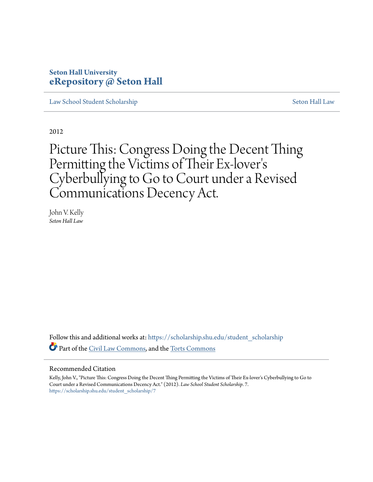# **Seton Hall University [eRepository @ Seton Hall](https://scholarship.shu.edu?utm_source=scholarship.shu.edu%2Fstudent_scholarship%2F7&utm_medium=PDF&utm_campaign=PDFCoverPages)**

[Law School Student Scholarship](https://scholarship.shu.edu/student_scholarship?utm_source=scholarship.shu.edu%2Fstudent_scholarship%2F7&utm_medium=PDF&utm_campaign=PDFCoverPages) [Seton Hall Law](https://scholarship.shu.edu/law?utm_source=scholarship.shu.edu%2Fstudent_scholarship%2F7&utm_medium=PDF&utm_campaign=PDFCoverPages)

2012

Picture This: Congress Doing the Decent Thing Permitting the Victims of Their Ex-lover ' $\mathsf{s}'$ Cyberbullying to Go to Court under a Revised Communications Decency Act.

John V. Kelly *Seton Hall Law*

Follow this and additional works at: [https://scholarship.shu.edu/student\\_scholarship](https://scholarship.shu.edu/student_scholarship?utm_source=scholarship.shu.edu%2Fstudent_scholarship%2F7&utm_medium=PDF&utm_campaign=PDFCoverPages) Part of the [Civil Law Commons](http://network.bepress.com/hgg/discipline/835?utm_source=scholarship.shu.edu%2Fstudent_scholarship%2F7&utm_medium=PDF&utm_campaign=PDFCoverPages), and the [Torts Commons](http://network.bepress.com/hgg/discipline/913?utm_source=scholarship.shu.edu%2Fstudent_scholarship%2F7&utm_medium=PDF&utm_campaign=PDFCoverPages)

### Recommended Citation

Kelly, John V., "Picture This: Congress Doing the Decent Thing Permitting the Victims of Their Ex-lover's Cyberbullying to Go to Court under a Revised Communications Decency Act." (2012). *Law School Student Scholarship*. 7. [https://scholarship.shu.edu/student\\_scholarship/7](https://scholarship.shu.edu/student_scholarship/7?utm_source=scholarship.shu.edu%2Fstudent_scholarship%2F7&utm_medium=PDF&utm_campaign=PDFCoverPages)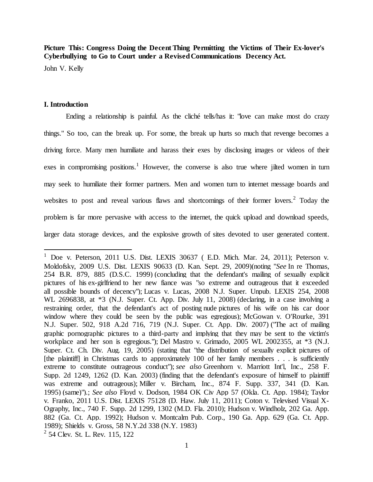**Picture This: Congress Doing the Decent Thing Permitting the Victims of Their Ex-lover's Cyberbullying to Go to Court under a Revised Communications Decency Act.**

John V. Kelly

# **I. Introduction**

 $\overline{a}$ 

Ending a relationship is painful. As the cliché tells/has it: "love can make most do crazy things." So too, can the break up. For some, the break up hurts so much that revenge becomes a driving force. Many men humiliate and harass their exes by disclosing images or videos of their exes in compromising positions.<sup>1</sup> However, the converse is also true where jilted women in turn may seek to humiliate their former partners. Men and women turn to internet message boards and websites to post and reveal various flaws and shortcomings of their former lovers.<sup>2</sup> Today the problem is far more pervasive with access to the internet, the quick upload and download speeds, larger data storage devices, and the explosive growth of sites devoted to user generated content.

<sup>&</sup>lt;sup>1</sup> Doe v. Peterson, 2011 U.S. Dist. LEXIS 30637 (E.D. Mich. Mar. 24, 2011); Peterson v. Moldofsky, 2009 U.S. Dist. LEXIS 90633 (D. Kan. Sept. 29, 2009)(noting "*See* In re Thomas, 254 B.R. 879, 885 (D.S.C. 1999) (concluding that the defendant's mailing of sexually explicit pictures of his ex-girlfriend to her new fiance was "so extreme and outrageous that it exceeded all possible bounds of decency"); Lucas v. Lucas, 2008 N.J. Super. Unpub. LEXIS 254, 2008 WL 2696838, at \*3 (N.J. Super. Ct. App. Div. July 11, 2008) (declaring, in a case involving a restraining order, that the defendant's act of posting nude pictures of his wife on his car door window where they could be seen by the public was egregious); McGowan v. O'Rourke, 391 N.J. Super. 502, 918 A.2d 716, 719 (N.J. Super. Ct. App. Div. 2007) ("The act of mailing graphic pornographic pictures to a third-party and implying that they may be sent to the victim's workplace and her son is egregious."); Del Mastro v. Grimado, 2005 WL 2002355, at \*3 (N.J. Super. Ct. Ch. Div. Aug. 19, 2005) (stating that "the distribution of sexually explicit pictures of [the plaintiff] in Christmas cards to approximately 100 of her family members . . . is sufficiently extreme to constitute outrageous conduct"); *see also* Greenhorn v. Marriott Int'l, Inc., 258 F. Supp. 2d 1249, 1262 (D. Kan. 2003) (finding that the defendant's exposure of himself to plaintiff was extreme and outrageous); Miller v. Bircham, Inc., 874 F. Supp. 337, 341 (D. Kan. 1995) (same)").; *See also* Floyd v. Dodson, 1984 OK Civ App 57 (Okla. Ct. App. 1984); Taylor v. Franko, 2011 U.S. Dist. LEXIS 75128 (D. Haw. July 11, 2011); Coton v. Televised Visual X-Ography, Inc., 740 F. Supp. 2d 1299, 1302 (M.D. Fla. 2010); Hudson v. Windholz, 202 Ga. App. 882 (Ga. Ct. App. 1992); Hudson v. Montcalm Pub. Corp., 190 Ga. App. 629 (Ga. Ct. App. 1989); Shields v. Gross, 58 N.Y.2d 338 (N.Y. 1983) <sup>2</sup> 54 Clev. St. L. Rev. 115, 122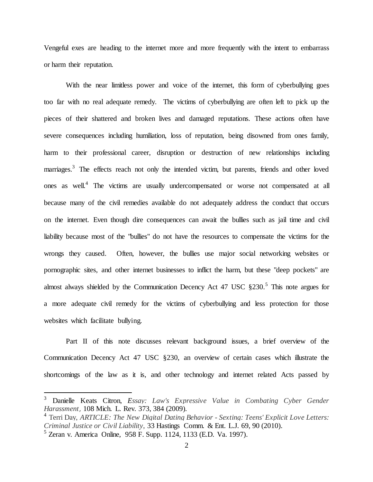Vengeful exes are heading to the internet more and more frequently with the intent to embarrass or harm their reputation.

With the near limitless power and voice of the internet, this form of cyberbullying goes too far with no real adequate remedy. The victims of cyberbullying are often left to pick up the pieces of their shattered and broken lives and damaged reputations. These actions often have severe consequences including humiliation, loss of reputation, being disowned from ones family, harm to their professional career, disruption or destruction of new relationships including marriages.<sup>3</sup> The effects reach not only the intended victim, but parents, friends and other loved ones as well.<sup>4</sup> The victims are usually undercompensated or worse not compensated at all because many of the civil remedies available do not adequately address the conduct that occurs on the internet. Even though dire consequences can await the bullies such as jail time and civil liability because most of the "bullies" do not have the resources to compensate the victims for the wrongs they caused. Often, however, the bullies use major social networking websites or pornographic sites, and other internet businesses to inflict the harm, but these "deep pockets" are almost always shielded by the Communication Decency Act 47 USC  $\S 230$ .<sup>5</sup> This note argues for a more adequate civil remedy for the victims of cyberbullying and less protection for those websites which facilitate bullying.

Part II of this note discusses relevant background issues, a brief overview of the Communication Decency Act 47 USC §230, an overview of certain cases which illustrate the shortcomings of the law as it is, and other technology and internet related Acts passed by

<sup>3</sup> Danielle Keats Citron, *Essay: Law's Expressive Value in Combating Cyber Gender Harassment*, 108 Mich. L. Rev. 373, 384 (2009).

<sup>4</sup> Terri Day, *ARTICLE: The New Digital Dating Behavior - Sexting: Teens' Explicit Love Letters: Criminal Justice or Civil Liability*, 33 Hastings Comm. & Ent. L.J. 69, 90 (2010).

<sup>5</sup> Zeran v. America Online, 958 F. Supp. 1124, 1133 (E.D. Va. 1997).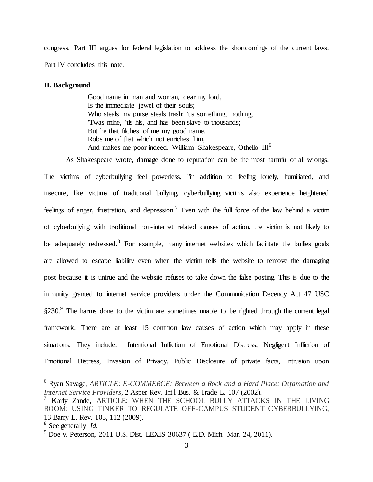congress. Part III argues for federal legislation to address the shortcomings of the current laws. Part IV concludes this note.

## **II. Background**

Good name in man and woman, dear my lord, Is the immediate jewel of their souls; Who steals my purse steals trash; 'tis something, nothing, 'Twas mine, 'tis his, and has been slave to thousands; But he that filches of me my good name, Robs me of that which not enriches him, And makes me poor indeed. William Shakespeare, Othello  $III^6$ 

As Shakespeare wrote, damage done to reputation can be the most harmful of all wrongs. The victims of cyberbullying feel powerless, "in addition to feeling lonely, humiliated, and insecure, like victims of traditional bullying, cyberbullying victims also experience heightened feelings of anger, frustration, and depression.<sup>7</sup> Even with the full force of the law behind a victim of cyberbullying with traditional non-internet related causes of action, the victim is not likely to be adequately redressed.<sup>8</sup> For example, many internet websites which facilitate the bullies goals are allowed to escape liability even when the victim tells the website to remove the damaging post because it is untrue and the website refuses to take down the false posting. This is due to the immunity granted to internet service providers under the Communication Decency Act 47 USC §230.<sup>9</sup> The harms done to the victim are sometimes unable to be righted through the current legal framework. There are at least 15 common law causes of action which may apply in these situations. They include: Intentional Infliction of Emotional Distress, Negligent Infliction of Emotional Distress, Invasion of Privacy, Public Disclosure of private facts, Intrusion upon

<sup>6</sup> Ryan Savage, *ARTICLE: E-COMMERCE: Between a Rock and a Hard Place: Defamation and Internet Service Providers*, 2 Asper Rev. Int'l Bus. & Trade L. 107 (2002).

<sup>7</sup> Karly Zande, ARTICLE: WHEN THE SCHOOL BULLY ATTACKS IN THE LIVING ROOM: USING TINKER TO REGULATE OFF-CAMPUS STUDENT CYBERBULLYING, 13 Barry L. Rev. 103, 112 (2009).

<sup>8</sup> See generally *Id*.

 $9$  Doe v. Peterson, 2011 U.S. Dist. LEXIS 30637 (E.D. Mich. Mar. 24, 2011).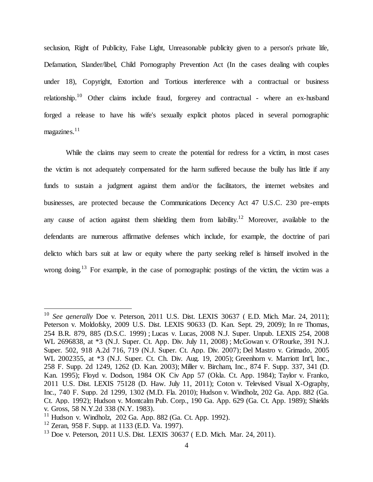seclusion, Right of Publicity, False Light, Unreasonable publicity given to a person's private life, Defamation, Slander/libel, Child Pornography Prevention Act (In the cases dealing with couples under 18), Copyright, Extortion and Tortious interference with a contractual or business relationship.<sup>10</sup> Other claims include fraud, forgerey and contractual - where an ex-husband forged a release to have his wife's sexually explicit photos placed in several pornographic  $maezines.<sup>11</sup>$ 

While the claims may seem to create the potential for redress for a victim, in most cases the victim is not adequately compensated for the harm suffered because the bully has little if any funds to sustain a judgment against them and/or the facilitators, the internet websites and businesses, are protected because the Communications Decency Act 47 U.S.C. 230 pre-empts any cause of action against them shielding them from liability.<sup>12</sup> Moreover, available to the defendants are numerous affirmative defenses which include, for example, the doctrine of pari delicto which bars suit at law or equity where the party seeking relief is himself involved in the wrong doing.<sup>13</sup> For example, in the case of pornographic postings of the victim, the victim was a

<sup>10</sup> *See generally* Doe v. Peterson, 2011 U.S. Dist. LEXIS 30637 ( E.D. Mich. Mar. 24, 2011); Peterson v. Moldofsky, 2009 U.S. Dist. LEXIS 90633 (D. Kan. Sept. 29, 2009); In re Thomas, 254 B.R. 879, 885 (D.S.C. 1999) ; Lucas v. Lucas, 2008 N.J. Super. Unpub. LEXIS 254, 2008 WL 2696838, at \*3 (N.J. Super. Ct. App. Div. July 11, 2008) ; McGowan v. O'Rourke, 391 N.J. Super. 502, 918 A.2d 716, 719 (N.J. Super. Ct. App. Div. 2007); Del Mastro v. Grimado, 2005 WL 2002355, at \*3 (N.J. Super. Ct. Ch. Div. Aug. 19, 2005); Greenhorn v. Marriott Int'l, Inc., 258 F. Supp. 2d 1249, 1262 (D. Kan. 2003); Miller v. Bircham, Inc., 874 F. Supp. 337, 341 (D. Kan. 1995); Floyd v. Dodson, 1984 OK Civ App 57 (Okla. Ct. App. 1984); Taylor v. Franko, 2011 U.S. Dist. LEXIS 75128 (D. Haw. July 11, 2011); Coton v. Televised Visual X-Ography, Inc., 740 F. Supp. 2d 1299, 1302 (M.D. Fla. 2010); Hudson v. Windholz, 202 Ga. App. 882 (Ga. Ct. App. 1992); Hudson v. Montcalm Pub. Corp., 190 Ga. App. 629 (Ga. Ct. App. 1989); Shields v. Gross, 58 N.Y.2d 338 (N.Y. 1983).

 $11$  Hudson v. Windholz, 202 Ga. App. 882 (Ga. Ct. App. 1992).

 $12$  Zeran, 958 F. Supp. at 1133 (E.D. Va. 1997).

<sup>&</sup>lt;sup>13</sup> Doe v. Peterson, 2011 U.S. Dist. LEXIS 30637 ( E.D. Mich. Mar. 24, 2011).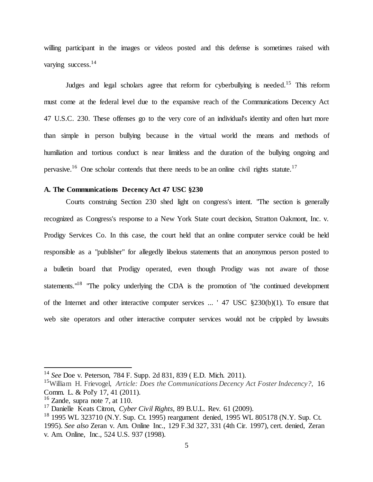willing participant in the images or videos posted and this defense is sometimes raised with varying success.<sup>14</sup>

Judges and legal scholars agree that reform for cyberbullying is needed.<sup>15</sup> This reform must come at the federal level due to the expansive reach of the Communications Decency Act 47 U.S.C. 230. These offenses go to the very core of an individual's identity and often hurt more than simple in person bullying because in the virtual world the means and methods of humiliation and tortious conduct is near limitless and the duration of the bullying ongoing and pervasive.<sup>16</sup> One scholar contends that there needs to be an online civil rights statute.<sup>17</sup>

# **A. The Communications Decency Act 47 USC §230**

Courts construing Section 230 shed light on congress's intent. "The section is generally recognized as Congress's response to a New York State court decision, Stratton Oakmont, Inc. v. Prodigy Services Co. In this case, the court held that an online computer service could be held responsible as a "publisher" for allegedly libelous statements that an anonymous person posted to a bulletin board that Prodigy operated, even though Prodigy was not aware of those statements."<sup>18</sup> "The policy underlying the CDA is the promotion of "the continued development of the Internet and other interactive computer services ... ' 47 USC §230(b)(1). To ensure that web site operators and other interactive computer services would not be crippled by lawsuits

<sup>14</sup> *See* Doe v. Peterson, 784 F. Supp. 2d 831, 839 ( E.D. Mich. 2011).

<sup>15</sup>William H. Frievogel, *Article: Does the Communications Decency Act Foster Indecency?*, 16 Comm. L. & Pol'y 17, 41 (2011).

 $16$  Zande, supra note 7, at 110.

<sup>17</sup> Danielle Keats Citron, *Cyber Civil Rights*, 89 B.U.L. Rev. 61 (2009).

 $^{18}$  1995 WL 323710 (N.Y. Sup. Ct. 1995) reargument denied, 1995 WL 805178 (N.Y. Sup. Ct. 1995). *See also* Zeran v. Am. Online Inc., 129 F.3d 327, 331 (4th Cir. 1997), cert. denied, Zeran v. Am. Online, Inc., 524 U.S. 937 (1998).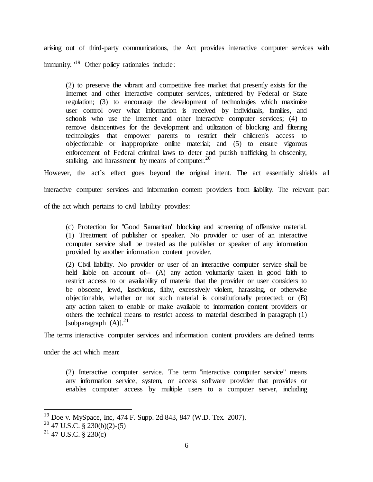arising out of third-party communications, the Act provides interactive computer services with immunity."<sup>19</sup> Other policy rationales include:

(2) to preserve the vibrant and competitive free market that presently exists for the Internet and other interactive computer services, unfettered by Federal or State regulation; (3) to encourage the development of technologies which maximize user control over what information is received by individuals, families, and schools who use the Internet and other interactive computer services; (4) to remove disincentives for the development and utilization of blocking and filtering technologies that empower parents to restrict their children's access to objectionable or inappropriate online material; and (5) to ensure vigorous enforcement of Federal criminal laws to deter and punish trafficking in obscenity, stalking, and harassment by means of computer.  $20$ 

However, the act's effect goes beyond the original intent. The act essentially shields all interactive computer services and information content providers from liability. The relevant part of the act which pertains to civil liability provides:

(c) Protection for "Good Samaritan" blocking and screening of offensive material. (1) Treatment of publisher or speaker. No provider or user of an interactive computer service shall be treated as the publisher or speaker of any information provided by another information content provider.

(2) Civil liability. No provider or user of an interactive computer service shall be held liable on account of-- (A) any action voluntarily taken in good faith to restrict access to or availability of material that the provider or user considers to be obscene, lewd, lascivious, filthy, excessively violent, harassing, or otherwise objectionable, whether or not such material is constitutionally protected; or (B) any action taken to enable or make available to information content providers or others the technical means to restrict access to material described in paragraph (1) [subparagraph  $(A)$ ].<sup>21</sup>

The terms interactive computer services and information content providers are defined terms

under the act which mean:

(2) Interactive computer service. The term "interactive computer service" means any information service, system, or access software provider that provides or enables computer access by multiple users to a computer server, including

 $19$  Doe v. MySpace, Inc, 474 F. Supp. 2d 843, 847 (W.D. Tex. 2007).

 $20$  47 U.S.C. § 230(b)(2)-(5)

 $^{21}$  47 U.S.C. § 230(c)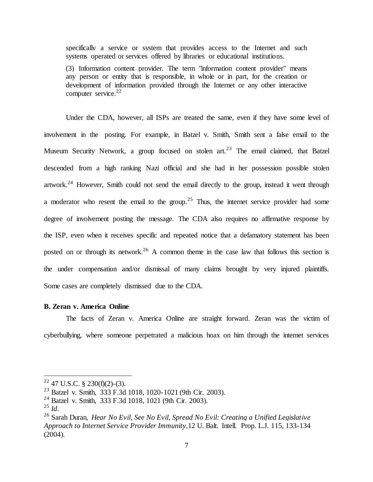specifically a service or system that provides access to the Internet and such systems operated or services offered by libraries or educational institutions.

(3) Information content provider. The term "information content provider" means any person or entity that is responsible, in whole or in part, for the creation or development of information provided through the Internet or any other interactive computer service. $22$ 

Under the CDA, however, all ISPs are treated the same, even if they have some level of involvement in the posting. For example, in Batzel v. Smith, Smith sent a false email to the Museum Security Network, a group focused on stolen art.<sup>23</sup> The email claimed, that Batzel descended from a high ranking Nazi official and she had in her possession possible stolen artwork.<sup>24</sup> However, Smith could not send the email directly to the group, instead it went through a moderator who resent the email to the group.<sup>25</sup> Thus, the internet service provider had some degree of involvement posting the message. The CDA also requires no affirmative response by the ISP, even when it receives specific and repeated notice that a defamatory statement has been posted on or through its network.<sup>26</sup> A common theme in the case law that follows this section is the under compensation and/or dismissal of many claims brought by very injured plaintiffs. Some cases are completely dismissed due to the CDA.

#### **B. Zeran v. America Online**

The facts of Zeran v. America Online are straight forward. Zeran was the victim of cyberbullying, where someone perpetrated a malicious hoax on him through the internet services

 $22$  47 U.S.C. § 230(f)(2)-(3).

<sup>23</sup> Batzel v. Smith, 333 F.3d 1018, 1020-1021 (9th Cir. 2003).

<sup>&</sup>lt;sup>24</sup> Batzel v. Smith, 333 F.3d 1018, 1021 (9th Cir. 2003).

<sup>25</sup> *Id*.

<sup>26</sup> Sarah Duran, *Hear No Evil, See No Evil, Spread No Evil: Creating a Unified Legislative Approach to Internet Service Provider Immunity*,12 U. Balt. Intell. Prop. L.J. 115, 133-134 (2004).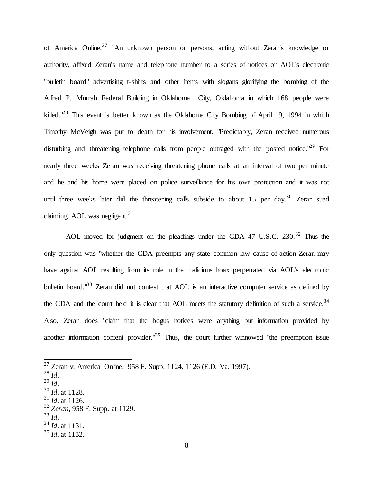of America Online.<sup>27</sup> "An unknown person or persons, acting without Zeran's knowledge or authority, affixed Zeran's name and telephone number to a series of notices on AOL's electronic "bulletin board" advertising t-shirts and other items with slogans glorifying the bombing of the Alfred P. Murrah Federal Building in Oklahoma City, Oklahoma in which 168 people were killed."<sup>28</sup> This event is better known as the Oklahoma City Bombing of April 19, 1994 in which Timothy McVeigh was put to death for his involvement. "Predictably, Zeran received numerous disturbing and threatening telephone calls from people outraged with the posted notice.<sup>"29</sup> For nearly three weeks Zeran was receiving threatening phone calls at an interval of two per minute and he and his home were placed on police surveillance for his own protection and it was not until three weeks later did the threatening calls subside to about 15 per day.<sup>30</sup> Zeran sued claiming AOL was negligent. $31$ 

AOL moved for judgment on the pleadings under the CDA 47 U.S.C.  $230^{32}$  Thus the only question was "whether the CDA preempts any state common law cause of action Zeran may have against AOL resulting from its role in the malicious hoax perpetrated via AOL's electronic bulletin board."<sup>33</sup> Zeran did not contest that AOL is an interactive computer service as defined by the CDA and the court held it is clear that AOL meets the statutory definition of such a service.<sup>34</sup> Also, Zeran does "claim that the bogus notices were anything but information provided by another information content provider."<sup>35</sup> Thus, the court further winnowed "the preemption issue

- $31$  *Id.* at 1126.
- <sup>32</sup> *Zeran*, 958 F. Supp. at 1129.
- <sup>33</sup> *Id*.
- <sup>34</sup> *Id*. at 1131.

<sup>&</sup>lt;sup>27</sup> Zeran v. America Online, 958 F. Supp. 1124, 1126 (E.D. Va. 1997).

<sup>28</sup> *Id*.

<sup>29</sup> *Id*.

<sup>30</sup> *Id*. at 1128.

<sup>35</sup> *Id*. at 1132.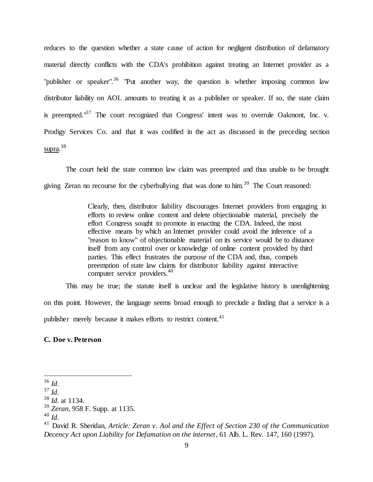reduces to the question whether a state cause of action for negligent distribution of defamatory material directly conflicts with the CDA's prohibition against treating an Internet provider as a "publisher or speaker".<sup>36</sup> "Put another way, the question is whether imposing common law distributor liability on AOL amounts to treating it as a publisher or speaker. If so, the state claim is preempted."<sup>37</sup> The court recognized that Congress' intent was to overrule Oakmont, Inc. v. Prodigy Services Co. and that it was codified in the act as discussed in the preceding section supra.<sup>38</sup>

The court held the state common law claim was preempted and thus unable to be brought giving Zeran no recourse for the cyberbullying that was done to him.<sup>39</sup> The Court reasoned:

> Clearly, then, distributor liability discourages Internet providers from engaging in efforts to review online content and delete objectionable material, precisely the effort Congress sought to promote in enacting the CDA. Indeed, the most effective means by which an Internet provider could avoid the inference of a "reason to know" of objectionable material on its service would be to distance itself from any control over or knowledge of online content provided by third parties. This effect frustrates the purpose of the CDA and, thus, compels preemption of state law claims for distributor liability against interactive computer service providers.<sup>40</sup>

This may be true; the statute itself is unclear and the legislative history is unenlightening on this point. However, the language seems broad enough to preclude a finding that a service is a publisher merely because it makes efforts to restrict content.<sup>41</sup>

**C. Doe v. Peterson**

 $\overline{a}$ <sup>36</sup> *Id*.

<sup>37</sup> *Id*.

<sup>38</sup> *Id*. at 1134.

<sup>39</sup> *Zeran*, 958 F. Supp. at 1135.

<sup>40</sup> *Id*.

<sup>41</sup> David R. Sheridan, *Article: Zeran v. Aol and the Effect of Section 230 of the Communication Decency Act upon Liability for Defamation on the internet*, 61 Alb. L. Rev. 147, 160 (1997).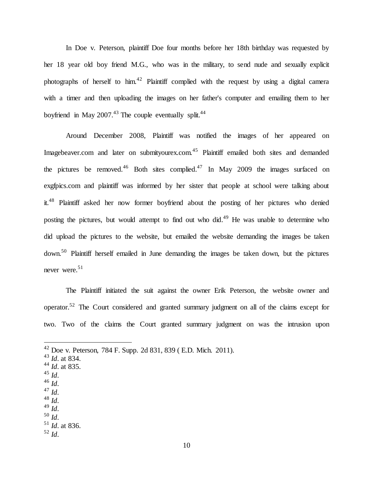In Doe v. Peterson, plaintiff Doe four months before her 18th birthday was requested by her 18 year old boy friend M.G., who was in the military, to send nude and sexually explicit photographs of herself to him.<sup>42</sup> Plaintiff complied with the request by using a digital camera with a timer and then uploading the images on her father's computer and emailing them to her boyfriend in May  $2007<sup>43</sup>$  The couple eventually split.<sup>44</sup>

Around December 2008, Plaintiff was notified the images of her appeared on Imagebeaver.com and later on submityourex.com.<sup>45</sup> Plaintiff emailed both sites and demanded the pictures be removed.<sup>46</sup> Both sites complied.<sup>47</sup> In May 2009 the images surfaced on exgfpics.com and plaintiff was informed by her sister that people at school were talking about it.<sup>48</sup> Plaintiff asked her now former boyfriend about the posting of her pictures who denied posting the pictures, but would attempt to find out who did.<sup>49</sup> He was unable to determine who did upload the pictures to the website, but emailed the website demanding the images be taken down.<sup>50</sup> Plaintiff herself emailed in June demanding the images be taken down, but the pictures never were.<sup>51</sup>

The Plaintiff initiated the suit against the owner Erik Peterson, the website owner and operator.<sup>52</sup> The Court considered and granted summary judgment on all of the claims except for two. Two of the claims the Court granted summary judgment on was the intrusion upon

 $^{45}$  *Id.* 

- <sup>46</sup> *Id*.
- <sup>47</sup> *Id*.
- <sup>48</sup> *Id*. <sup>49</sup> *Id*.
- <sup>50</sup> *Id*.
- 

 $42$  Doe v. Peterson, 784 F. Supp. 2d 831, 839 (E.D. Mich. 2011).

<sup>43</sup> *Id*. at 834.

<sup>44</sup> *Id*. at 835.

<sup>51</sup> *Id*. at 836. <sup>52</sup> *Id*.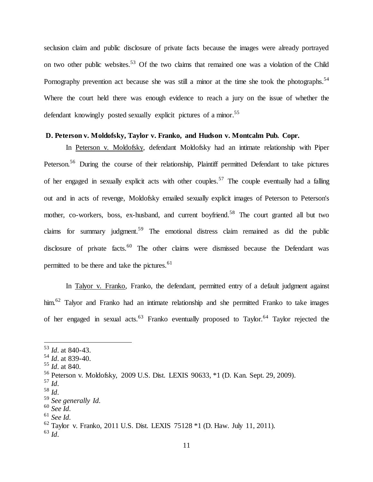seclusion claim and public disclosure of private facts because the images were already portrayed on two other public websites.<sup>53</sup> Of the two claims that remained one was a violation of the Child Pornography prevention act because she was still a minor at the time she took the photographs.<sup>54</sup> Where the court held there was enough evidence to reach a jury on the issue of whether the defendant knowingly posted sexually explicit pictures of a minor.<sup>55</sup>

#### **D. Peterson v. Moldofsky, Taylor v. Franko, and Hudson v. Montcalm Pub. Copr.**

In Peterson v. Moldofsky, defendant Moldofsky had an intimate relationship with Piper Peterson.<sup>56</sup> During the course of their relationship, Plaintiff permitted Defendant to take pictures of her engaged in sexually explicit acts with other couples.<sup>57</sup> The couple eventually had a falling out and in acts of revenge, Moldofsky emailed sexually explicit images of Peterson to Peterson's mother, co-workers, boss, ex-husband, and current boyfriend.<sup>58</sup> The court granted all but two claims for summary judgment.<sup>59</sup> The emotional distress claim remained as did the public disclosure of private facts.<sup>60</sup> The other claims were dismissed because the Defendant was permitted to be there and take the pictures. $61$ 

In Talyor v. Franko, Franko, the defendant, permitted entry of a default judgment against him.<sup>62</sup> Talyor and Franko had an intimate relationship and she permitted Franko to take images of her engaged in sexual acts.<sup>63</sup> Franko eventually proposed to Taylor.<sup>64</sup> Taylor rejected the

<sup>53</sup> *Id*. at 840-43.

<sup>54</sup> *Id*. at 839-40.

<sup>55</sup> *Id*. at 840.

<sup>56</sup> Peterson v. Moldofsky, 2009 U.S. Dist. LEXIS 90633, \*1 (D. Kan. Sept. 29, 2009).

<sup>57</sup> *Id*.

<sup>58</sup> *Id*.

<sup>59</sup> *See generally Id*.

<sup>60</sup> *See Id*.

<sup>61</sup> *See Id*.

<sup>62</sup> Taylor v. Franko, 2011 U.S. Dist. LEXIS 75128 \*1 (D. Haw. July 11, 2011).

<sup>63</sup> *Id*.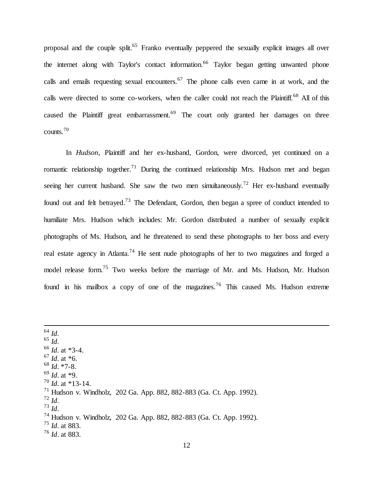proposal and the couple split.<sup>65</sup> Franko eventually peppered the sexually explicit images all over the internet along with Taylor's contact information.<sup>66</sup> Taylor began getting unwanted phone calls and emails requesting sexual encounters.<sup>67</sup> The phone calls even came in at work, and the calls were directed to some co-workers, when the caller could not reach the Plaintiff.<sup>68</sup> All of this caused the Plaintiff great embarrassment.<sup>69</sup> The court only granted her damages on three counts.<sup>70</sup>

In *Hudson*, Plaintiff and her ex-husband, Gordon, were divorced, yet continued on a romantic relationship together.<sup>71</sup> During the continued relationship Mrs. Hudson met and began seeing her current husband. She saw the two men simultaneously.<sup>72</sup> Her ex-husband eventually found out and felt betrayed.<sup>73</sup> The Defendant, Gordon, then began a spree of conduct intended to humiliate Mrs. Hudson which includes: Mr. Gordon distributed a number of sexually explicit photographs of Ms. Hudson, and he threatened to send these photographs to her boss and every real estate agency in Atlanta.<sup>74</sup> He sent nude photographs of her to two magazines and forged a model release form.<sup>75</sup> Two weeks before the marriage of Mr. and Ms. Hudson, Mr. Hudson found in his mailbox a copy of one of the magazines.<sup>76</sup> This caused Ms. Hudson extreme

<sup>64</sup> *Id*. <sup>65</sup> *Id*. <sup>66</sup> *Id*. at \*3-4. <sup>67</sup> *Id*. at \*6. <sup>68</sup> *Id*. \*7-8. <sup>69</sup> *Id*. at \*9.  $^{70}$  *Id.* at \*13-14.  $^{71}$  Hudson v. Windholz, 202 Ga. App. 882, 882-883 (Ga. Ct. App. 1992). <sup>72</sup> *Id*. <sup>73</sup> *Id*. <sup>74</sup> Hudson v. Windholz, 202 Ga. App. 882, 882-883 (Ga. Ct. App. 1992). <sup>75</sup> *Id*. at 883. <sup>76</sup> *Id*. at 883.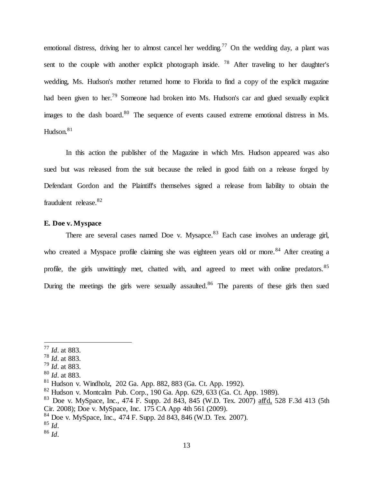emotional distress, driving her to almost cancel her wedding.<sup>77</sup> On the wedding day, a plant was sent to the couple with another explicit photograph inside. <sup>78</sup> After traveling to her daughter's wedding, Ms. Hudson's mother returned home to Florida to find a copy of the explicit magazine had been given to her.<sup>79</sup> Someone had broken into Ms. Hudson's car and glued sexually explicit images to the dash board. $80$  The sequence of events caused extreme emotional distress in Ms. Hudson.<sup>81</sup>

In this action the publisher of the Magazine in which Mrs. Hudson appeared was also sued but was released from the suit because the relied in good faith on a release forged by Defendant Gordon and the Plaintiff's themselves signed a release from liability to obtain the fraudulent release.<sup>82</sup>

# **E. Doe v. Myspace**

There are several cases named Doe v. Mysapce.<sup>83</sup> Each case involves an underage girl, who created a Myspace profile claiming she was eighteen years old or more.<sup>84</sup> After creating a profile, the girls unwittingly met, chatted with, and agreed to meet with online predators.<sup>85</sup> During the meetings the girls were sexually assaulted.<sup>86</sup> The parents of these girls then sued

<sup>77</sup> *Id*. at 883.

<sup>78</sup> *Id*. at 883.

<sup>79</sup> *Id*. at 883.

<sup>80</sup> *Id*. at 883.

<sup>81</sup> Hudson v. Windholz, 202 Ga. App. 882, 883 (Ga. Ct. App. 1992).

 $82$  Hudson v. Montcalm Pub. Corp., 190 Ga. App. 629, 633 (Ga. Ct. App. 1989).

<sup>&</sup>lt;sup>83</sup> Doe v. MySpace, Inc., 474 F. Supp. 2d 843, 845 (W.D. Tex. 2007) affd, 528 F.3d 413 (5th Cir. 2008); Doe v. MySpace, Inc. 175 CA App 4th 561 (2009).

 $84$  Doe v. MySpace, Inc., 474 F. Supp. 2d 843, 846 (W.D. Tex. 2007).

 $^{85}$  *Id.* 

<sup>86</sup> *Id*.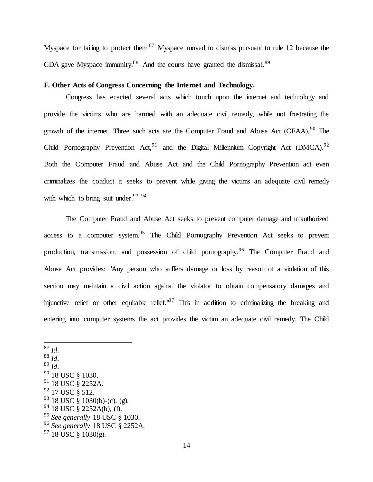Myspace for failing to protect them.<sup>87</sup> Myspace moved to dismiss pursuant to rule 12 because the CDA gave Myspace immunity.<sup>88</sup> And the courts have granted the dismissal.<sup>89</sup>

#### **F. Other Acts of Congress Concerning the Internet and Technology.**

Congress has enacted several acts which touch upon the internet and technology and provide the victims who are harmed with an adequate civil remedy, while not frustrating the growth of the internet. Three such acts are the Computer Fraud and Abuse Act (CFAA),  $90$  The Child Pornography Prevention Act, <sup>91</sup> and the Digital Millennium Copyright Act (DMCA).<sup>92</sup> Both the Computer Fraud and Abuse Act and the Child Pornography Prevention act even criminalizes the conduct it seeks to prevent while giving the victims an adequate civil remedy with which to bring suit under.  $93^{94}$ 

The Computer Fraud and Abuse Act seeks to prevent computer damage and unauthorized access to a computer system.<sup>95</sup> The Child Pornography Prevention Act seeks to prevent production, transmission, and possession of child pornography.<sup>96</sup> The Computer Fraud and Abuse Act provides: "Any person who suffers damage or loss by reason of a violation of this section may maintain a civil action against the violator to obtain compensatory damages and injunctive relief or other equitable relief.<sup> $.97$ </sup> This in addition to criminalizing the breaking and entering into computer systems the act provides the victim an adequate civil remedy. The Child

 $87$  *Id.* <sup>88</sup> *Id*. <sup>89</sup> *Id*.  $90$  18 USC § 1030.  $91$  18 USC § 2252A. <sup>92</sup> 17 USC § 512.  $93$  18 USC § 1030(b)-(c), (g).  $94$  18 USC § 2252A(b), (f). <sup>95</sup> *See generally* 18 USC § 1030. <sup>96</sup> *See generally* 18 USC § 2252A.

 $97$  18 USC § 1030(g).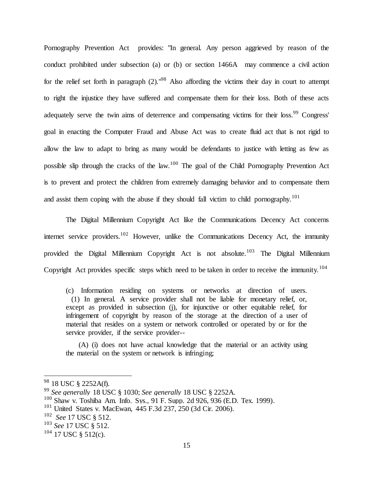Pornography Prevention Act provides: "In general. Any person aggrieved by reason of the conduct prohibited under subsection (a) or (b) or section 1466A may commence a civil action for the relief set forth in paragraph  $(2)$ ."<sup>98</sup> Also affording the victims their day in court to attempt to right the injustice they have suffered and compensate them for their loss. Both of these acts adequately serve the twin aims of deterrence and compensating victims for their loss.<sup>99</sup> Congress' goal in enacting the Computer Fraud and Abuse Act was to create fluid act that is not rigid to allow the law to adapt to bring as many would be defendants to justice with letting as few as possible slip through the cracks of the law.<sup>100</sup> The goal of the Child Pornography Prevention Act is to prevent and protect the children from extremely damaging behavior and to compensate them and assist them coping with the abuse if they should fall victim to child pornography.<sup>101</sup>

The Digital Millennium Copyright Act like the Communications Decency Act concerns internet service providers.<sup>102</sup> However, unlike the Communications Decency Act, the immunity provided the Digital Millennium Copyright Act is not absolute.<sup>103</sup> The Digital Millennium Copyright Act provides specific steps which need to be taken in order to receive the immunity.<sup>104</sup>

(c) Information residing on systems or networks at direction of users. (1) In general. A service provider shall not be liable for monetary relief, or, except as provided in subsection (j), for injunctive or other equitable relief, for infringement of copyright by reason of the storage at the direction of a user of material that resides on a system or network controlled or operated by or for the service provider, if the service provider--

 (A) (i) does not have actual knowledge that the material or an activity using the material on the system or network is infringing;

<sup>&</sup>lt;sup>98</sup> 18 USC § 2252A(f).

<sup>99</sup> *See generally* 18 USC § 1030; *See generally* 18 USC § 2252A.

 $100$  Shaw v. Toshiba Am. Info. Sys., 91 F. Supp. 2d 926, 936 (E.D. Tex. 1999).

 $101$  United States v. MacEwan, 445 F.3d 237, 250 (3d Cir. 2006).

<sup>102</sup> *See* 17 USC § 512.

<sup>103</sup> *See* 17 USC § 512.

 $104$  17 USC § 512(c).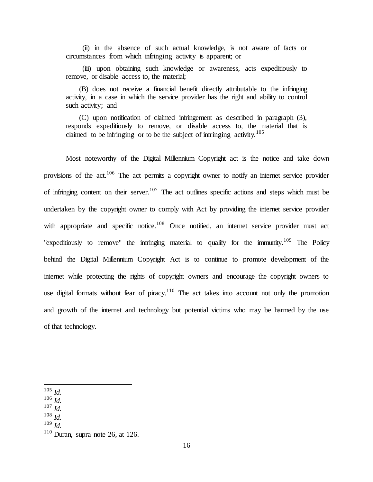(ii) in the absence of such actual knowledge, is not aware of facts or circumstances from which infringing activity is apparent; or

 (iii) upon obtaining such knowledge or awareness, acts expeditiously to remove, or disable access to, the material;

 (B) does not receive a financial benefit directly attributable to the infringing activity, in a case in which the service provider has the right and ability to control such activity; and

 (C) upon notification of claimed infringement as described in paragraph (3), responds expeditiously to remove, or disable access to, the material that is claimed to be infringing or to be the subject of infringing activity.<sup>105</sup>

Most noteworthy of the Digital Millennium Copyright act is the notice and take down provisions of the act.<sup>106</sup> The act permits a copyright owner to notify an internet service provider of infringing content on their server.<sup>107</sup> The act outlines specific actions and steps which must be undertaken by the copyright owner to comply with Act by providing the internet service provider with appropriate and specific notice.<sup>108</sup> Once notified, an internet service provider must act "expeditiously to remove" the infringing material to qualify for the immunity.<sup>109</sup> The Policy behind the Digital Millennium Copyright Act is to continue to promote development of the internet while protecting the rights of copyright owners and encourage the copyright owners to use digital formats without fear of piracy.<sup>110</sup> The act takes into account not only the promotion and growth of the internet and technology but potential victims who may be harmed by the use of that technology.

- <sup>106</sup> *Id.*
- <sup>107</sup> *Id.*
- <sup>108</sup> *Id.*

 $105$  *Id.* 

<sup>109</sup> *Id.*

 $110$  Duran, supra note 26, at 126.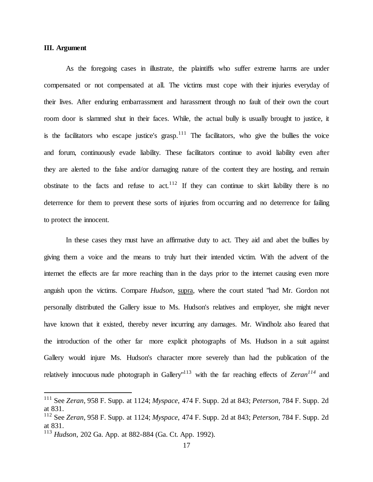# **III. Argument**

 $\overline{a}$ 

As the foregoing cases in illustrate, the plaintiffs who suffer extreme harms are under compensated or not compensated at all. The victims must cope with their injuries everyday of their lives. After enduring embarrassment and harassment through no fault of their own the court room door is slammed shut in their faces. While, the actual bully is usually brought to justice, it is the facilitators who escape justice's grasp.<sup>111</sup> The facilitators, who give the bullies the voice and forum, continuously evade liability. These facilitators continue to avoid liability even after they are alerted to the false and/or damaging nature of the content they are hosting, and remain obstinate to the facts and refuse to act.<sup>112</sup> If they can continue to skirt liability there is no deterrence for them to prevent these sorts of injuries from occurring and no deterrence for failing to protect the innocent.

In these cases they must have an affirmative duty to act. They aid and abet the bullies by giving them a voice and the means to truly hurt their intended victim. With the advent of the internet the effects are far more reaching than in the days prior to the internet causing even more anguish upon the victims. Compare *Hudson*, supra, where the court stated "had Mr. Gordon not personally distributed the Gallery issue to Ms. Hudson's relatives and employer, she might never have known that it existed, thereby never incurring any damages. Mr. Windholz also feared that the introduction of the other far more explicit photographs of Ms. Hudson in a suit against Gallery would injure Ms. Hudson's character more severely than had the publication of the relatively innocuous nude photograph in Gallery"<sup>113</sup> with the far reaching effects of *Zeran<sup>114</sup>* and

<sup>111</sup> See *Zeran*, 958 F. Supp. at 1124; *Myspace*, 474 F. Supp. 2d at 843; *Peterson*, 784 F. Supp. 2d at 831.

<sup>112</sup> See *Zeran*, 958 F. Supp. at 1124; *Myspace*, 474 F. Supp. 2d at 843; *Peterson*, 784 F. Supp. 2d at 831.

<sup>113</sup> *Hudson*, 202 Ga. App. at 882-884 (Ga. Ct. App. 1992).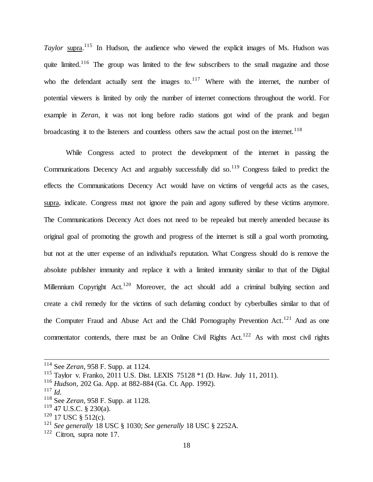Taylor supra.<sup>115</sup> In Hudson, the audience who viewed the explicit images of Ms. Hudson was quite limited.<sup>116</sup> The group was limited to the few subscribers to the small magazine and those who the defendant actually sent the images to. $117$  Where with the internet, the number of potential viewers is limited by only the number of internet connections throughout the world. For example in *Zeran*, it was not long before radio stations got wind of the prank and began broadcasting it to the listeners and countless others saw the actual post on the internet.<sup>118</sup>

While Congress acted to protect the development of the internet in passing the Communications Decency Act and arguably successfully did so.<sup>119</sup> Congress failed to predict the effects the Communications Decency Act would have on victims of vengeful acts as the cases, supra, indicate. Congress must not ignore the pain and agony suffered by these victims anymore. The Communications Decency Act does not need to be repealed but merely amended because its original goal of promoting the growth and progress of the internet is still a goal worth promoting, but not at the utter expense of an individual's reputation. What Congress should do is remove the absolute publisher immunity and replace it with a limited immunity similar to that of the Digital Millennium Copyright Act.<sup>120</sup> Moreover, the act should add a criminal bullying section and create a civil remedy for the victims of such defaming conduct by cyberbullies similar to that of the Computer Fraud and Abuse Act and the Child Pornography Prevention Act.<sup>121</sup> And as one commentator contends, there must be an Online Civil Rights Act.<sup>122</sup> As with most civil rights

<sup>114</sup> See *Zeran*, 958 F. Supp. at 1124.

<sup>115</sup> Taylor v. Franko, 2011 U.S. Dist. LEXIS 75128 \*1 (D. Haw. July 11, 2011).

<sup>116</sup> *Hudson*, 202 Ga. App. at 882-884 (Ga. Ct. App. 1992).

<sup>117</sup> *Id.*

<sup>118</sup> See *Zeran*, 958 F. Supp. at 1128.

 $119$  47 U.S.C. § 230(a).

 $120$  17 USC § 512(c).

<sup>121</sup> *See generally* 18 USC § 1030; *See generally* 18 USC § 2252A.

<sup>&</sup>lt;sup>122</sup> Citron, supra note 17.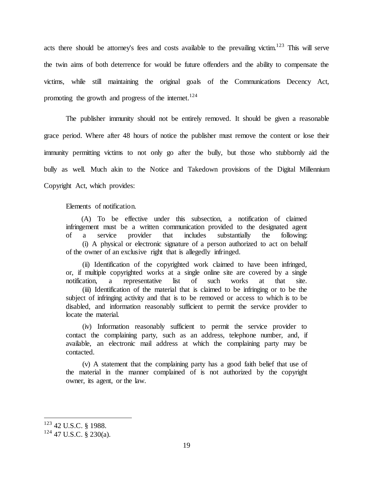acts there should be attorney's fees and costs available to the prevailing victim.<sup>123</sup> This will serve the twin aims of both deterrence for would be future offenders and the ability to compensate the victims, while still maintaining the original goals of the Communications Decency Act, promoting the growth and progress of the internet.<sup>124</sup>

The publisher immunity should not be entirely removed. It should be given a reasonable grace period. Where after 48 hours of notice the publisher must remove the content or lose their immunity permitting victims to not only go after the bully, but those who stubbornly aid the bully as well. Much akin to the Notice and Takedown provisions of the Digital Millennium Copyright Act, which provides:

Elements of notification.

 (A) To be effective under this subsection, a notification of claimed infringement must be a written communication provided to the designated agent of a service provider that includes substantially the following: (i) A physical or electronic signature of a person authorized to act on behalf of the owner of an exclusive right that is allegedly infringed.

 (ii) Identification of the copyrighted work claimed to have been infringed, or, if multiple copyrighted works at a single online site are covered by a single notification, a representative list of such works at that site. (iii) Identification of the material that is claimed to be infringing or to be the subject of infringing activity and that is to be removed or access to which is to be disabled, and information reasonably sufficient to permit the service provider to locate the material.

 (iv) Information reasonably sufficient to permit the service provider to contact the complaining party, such as an address, telephone number, and, if available, an electronic mail address at which the complaining party may be contacted.

 (v) A statement that the complaining party has a good faith belief that use of the material in the manner complained of is not authorized by the copyright owner, its agent, or the law.

<sup>123</sup> 42 U.S.C. § 1988.

 $124$  47 U.S.C. § 230(a).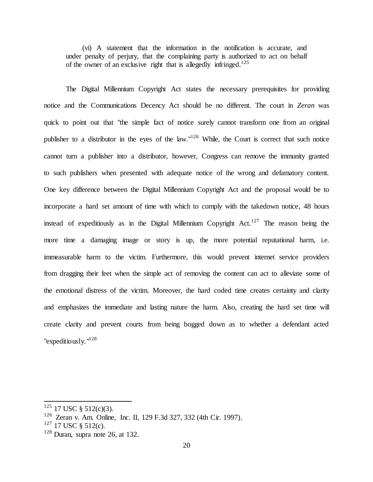(vi) A statement that the information in the notification is accurate, and under penalty of perjury, that the complaining party is authorized to act on behalf of the owner of an exclusive right that is allegedly infringed.<sup>125</sup>

The Digital Millennium Copyright Act states the necessary prerequisites for providing notice and the Communications Decency Act should be no different. The court in *Zeran* was quick to point out that "the simple fact of notice surely cannot transform one from an original publisher to a distributor in the eyes of the law."<sup>126</sup> While, the Court is correct that such notice cannot turn a publisher into a distributor, however, Congress can remove the immunity granted to such publishers when presented with adequate notice of the wrong and defamatory content. One key difference between the Digital Millennium Copyright Act and the proposal would be to incorporate a hard set amount of time with which to comply with the takedown notice, 48 hours instead of expeditiously as in the Digital Millennium Copyright  $Act.$ <sup>127</sup> The reason being the more time a damaging image or story is up, the more potential reputational harm, i.e. immeasurable harm to the victim. Furthermore, this would prevent internet service providers from dragging their feet when the simple act of removing the content can act to alleviate some of the emotional distress of the victim. Moreover, the hard coded time creates certainty and clarity and emphasizes the immediate and lasting nature the harm. Also, creating the hard set time will create clarity and prevent courts from being bogged down as to whether a defendant acted "expeditiously."<sup>128</sup>

 $125$  17 USC § 512(c)(3).

<sup>&</sup>lt;sup>126</sup> Zeran v. Am. Online, Inc. II, 129 F.3d 327, 332 (4th Cir. 1997).

 $127$  17 USC § 512(c).

 $128$  Duran, supra note 26, at 132.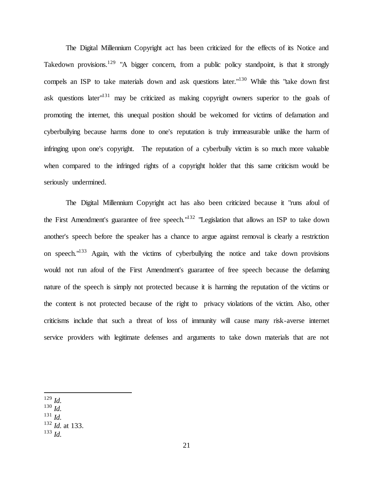The Digital Millennium Copyright act has been criticized for the effects of its Notice and Takedown provisions.<sup>129</sup> "A bigger concern, from a public policy standpoint, is that it strongly compels an ISP to take materials down and ask questions later."<sup>130</sup> While this "take down first ask questions later<sup>"131</sup> may be criticized as making copyright owners superior to the goals of promoting the internet, this unequal position should be welcomed for victims of defamation and cyberbullying because harms done to one's reputation is truly immeasurable unlike the harm of infringing upon one's copyright. The reputation of a cyberbully victim is so much more valuable when compared to the infringed rights of a copyright holder that this same criticism would be seriously undermined.

The Digital Millennium Copyright act has also been criticized because it "runs afoul of the First Amendment's guarantee of free speech."<sup>132</sup> "Legislation that allows an ISP to take down another's speech before the speaker has a chance to argue against removal is clearly a restriction on speech."<sup>133</sup> Again, with the victims of cyberbullying the notice and take down provisions would not run afoul of the First Amendment's guarantee of free speech because the defaming nature of the speech is simply not protected because it is harming the reputation of the victims or the content is not protected because of the right to privacy violations of the victim. Also, other criticisms include that such a threat of loss of immunity will cause many risk-averse internet service providers with legitimate defenses and arguments to take down materials that are not

 $\overline{a}$ <sup>129</sup> *Id.*

- $130$  *Id.*
- <sup>131</sup> *Id.*
- <sup>132</sup> *Id.* at 133.
- <sup>133</sup> *Id.*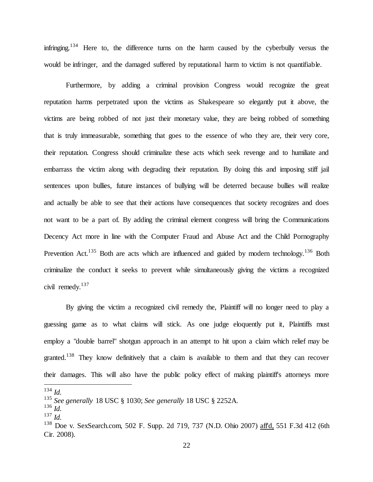infringing.<sup>134</sup> Here to, the difference turns on the harm caused by the cyberbully versus the would be infringer, and the damaged suffered by reputational harm to victim is not quantifiable.

Furthermore, by adding a criminal provision Congress would recognize the great reputation harms perpetrated upon the victims as Shakespeare so elegantly put it above, the victims are being robbed of not just their monetary value, they are being robbed of something that is truly immeasurable, something that goes to the essence of who they are, their very core, their reputation. Congress should criminalize these acts which seek revenge and to humiliate and embarrass the victim along with degrading their reputation. By doing this and imposing stiff jail sentences upon bullies, future instances of bullying will be deterred because bullies will realize and actually be able to see that their actions have consequences that society recognizes and does not want to be a part of. By adding the criminal element congress will bring the Communications Decency Act more in line with the Computer Fraud and Abuse Act and the Child Pornography Prevention Act.<sup>135</sup> Both are acts which are influenced and guided by modern technology.<sup>136</sup> Both criminalize the conduct it seeks to prevent while simultaneously giving the victims a recognized civil remedy.<sup>137</sup>

By giving the victim a recognized civil remedy the, Plaintiff will no longer need to play a guessing game as to what claims will stick. As one judge eloquently put it, Plaintiffs must employ a "double barrel" shotgun approach in an attempt to hit upon a claim which relief may be granted.<sup>138</sup> They know definitively that a claim is available to them and that they can recover their damages. This will also have the public policy effect of making plaintiff's attorneys more

<sup>134</sup> *Id.*

<sup>135</sup> *See generally* 18 USC § 1030; *See generally* 18 USC § 2252A.

<sup>136</sup> *Id.*

<sup>137</sup> *Id.*

<sup>&</sup>lt;sup>138</sup> Doe v. SexSearch.com, 502 F. Supp. 2d 719, 737 (N.D. Ohio 2007) affd, 551 F.3d 412 (6th Cir. 2008).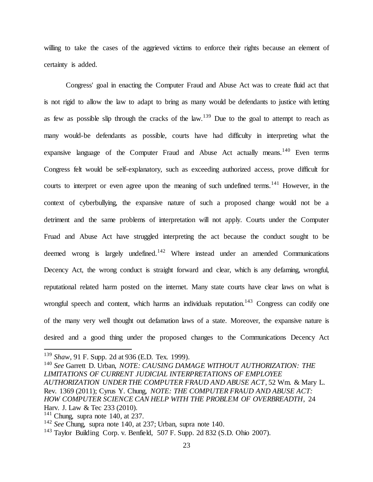willing to take the cases of the aggrieved victims to enforce their rights because an element of certainty is added.

Congress' goal in enacting the Computer Fraud and Abuse Act was to create fluid act that is not rigid to allow the law to adapt to bring as many would be defendants to justice with letting as few as possible slip through the cracks of the law.<sup>139</sup> Due to the goal to attempt to reach as many would-be defendants as possible, courts have had difficulty in interpreting what the expansive language of the Computer Fraud and Abuse Act actually means.<sup>140</sup> Even terms Congress felt would be self-explanatory, such as exceeding authorized access, prove difficult for courts to interpret or even agree upon the meaning of such undefined terms.<sup>141</sup> However, in the context of cyberbullying, the expansive nature of such a proposed change would not be a detriment and the same problems of interpretation will not apply. Courts under the Computer Fruad and Abuse Act have struggled interpreting the act because the conduct sought to be deemed wrong is largely undefined.<sup>142</sup> Where instead under an amended Communications Decency Act, the wrong conduct is straight forward and clear, which is any defaming, wrongful, reputational related harm posted on the internet. Many state courts have clear laws on what is wrongful speech and content, which harms an individuals reputation.<sup>143</sup> Congress can codify one of the many very well thought out defamation laws of a state. Moreover, the expansive nature is desired and a good thing under the proposed changes to the Communications Decency Act

<sup>139</sup> *Shaw*, 91 F. Supp. 2d at 936 (E.D. Tex. 1999).

<sup>140</sup> *See* Garrett D. Urban, *NOTE: CAUSING DAMAGE WITHOUT AUTHORIZATION: THE LIMITATIONS OF CURRENT JUDICIAL INTERPRETATIONS OF EMPLOYEE AUTHORIZATION UNDER THE COMPUTER FRAUD AND ABUSE ACT*, 52 Wm. & Mary L. Rev. 1369 (2011); Cyrus Y. Chung, *NOTE: THE COMPUTER FRAUD AND ABUSE ACT: HOW COMPUTER SCIENCE CAN HELP WITH THE PROBLEM OF OVERBREADTH*, 24 Harv. J. Law & Tec 233 (2010).

 $141$  Chung, supra note 140, at 237.

<sup>142</sup> *See* Chung, supra note 140, at 237; Urban, supra note 140.

<sup>143</sup> Taylor Building Corp. v. Benfield, 507 F. Supp. 2d 832 (S.D. Ohio 2007).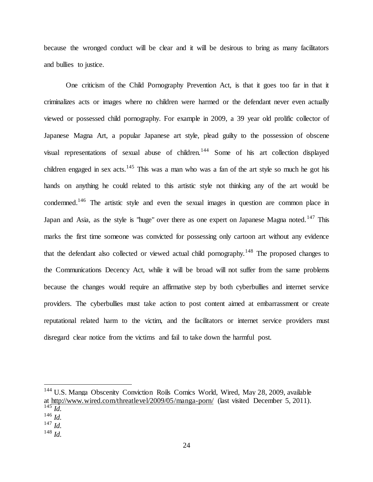because the wronged conduct will be clear and it will be desirous to bring as many facilitators and bullies to justice.

One criticism of the Child Pornography Prevention Act, is that it goes too far in that it criminalizes acts or images where no children were harmed or the defendant never even actually viewed or possessed child pornography. For example in 2009, a 39 year old prolific collector of Japanese Magna Art, a popular Japanese art style, plead guilty to the possession of obscene visual representations of sexual abuse of children.<sup>144</sup> Some of his art collection displayed children engaged in sex acts.<sup>145</sup> This was a man who was a fan of the art style so much he got his hands on anything he could related to this artistic style not thinking any of the art would be condemned.<sup>146</sup> The artistic style and even the sexual images in question are common place in Japan and Asia, as the style is "huge" over there as one expert on Japanese Magna noted.<sup>147</sup> This marks the first time someone was convicted for possessing only cartoon art without any evidence that the defendant also collected or viewed actual child pornography.<sup>148</sup> The proposed changes to the Communications Decency Act, while it will be broad will not suffer from the same problems because the changes would require an affirmative step by both cyberbullies and internet service providers. The cyberbullies must take action to post content aimed at embarrassment or create reputational related harm to the victim, and the facilitators or internet service providers must disregard clear notice from the victims and fail to take down the harmful post.

 $\overline{a}$ 

<sup>148</sup> *Id.*

<sup>&</sup>lt;sup>144</sup> U.S. Manga Obscenity Conviction Roils Comics World, Wired, May 28, 2009, available at <http://www.wired.com/threatlevel/2009/05/manga-porn/> (last visited December 5, 2011).  $^{145}$  *Id.* 

<sup>146</sup> *Id.*

<sup>147</sup> *Id.*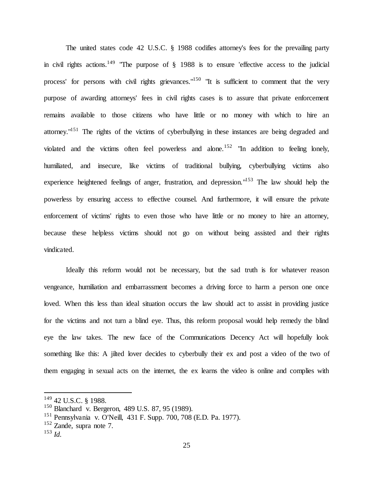The united states code 42 U.S.C. § 1988 codifies attorney's fees for the prevailing party in civil rights actions.<sup>149</sup> "The purpose of  $\S$  1988 is to ensure 'effective access to the judicial process' for persons with civil rights grievances."<sup>150</sup> "It is sufficient to comment that the very purpose of awarding attorneys' fees in civil rights cases is to assure that private enforcement remains available to those citizens who have little or no money with which to hire an attorney."<sup>151</sup> The rights of the victims of cyberbullying in these instances are being degraded and violated and the victims often feel powerless and alone.<sup>152</sup> "In addition to feeling lonely, humiliated, and insecure, like victims of traditional bullying, cyberbullying victims also experience heightened feelings of anger, frustration, and depression."<sup>153</sup> The law should help the powerless by ensuring access to effective counsel. And furthermore, it will ensure the private enforcement of victims' rights to even those who have little or no money to hire an attorney, because these helpless victims should not go on without being assisted and their rights vindicated.

Ideally this reform would not be necessary, but the sad truth is for whatever reason vengeance, humiliation and embarrassment becomes a driving force to harm a person one once loved. When this less than ideal situation occurs the law should act to assist in providing justice for the victims and not turn a blind eye. Thus, this reform proposal would help remedy the blind eye the law takes. The new face of the Communications Decency Act will hopefully look something like this: A jilted lover decides to cyberbully their ex and post a video of the two of them engaging in sexual acts on the internet, the ex learns the video is online and complies with

<sup>149</sup> 42 U.S.C. § 1988.

<sup>150</sup> Blanchard v. Bergeron, 489 U.S. 87, 95 (1989).

<sup>151</sup> Pennsylvania v. O'Neill, 431 F. Supp. 700, 708 (E.D. Pa. 1977).

 $152$  Zande, supra note 7.

<sup>153</sup> *Id.*